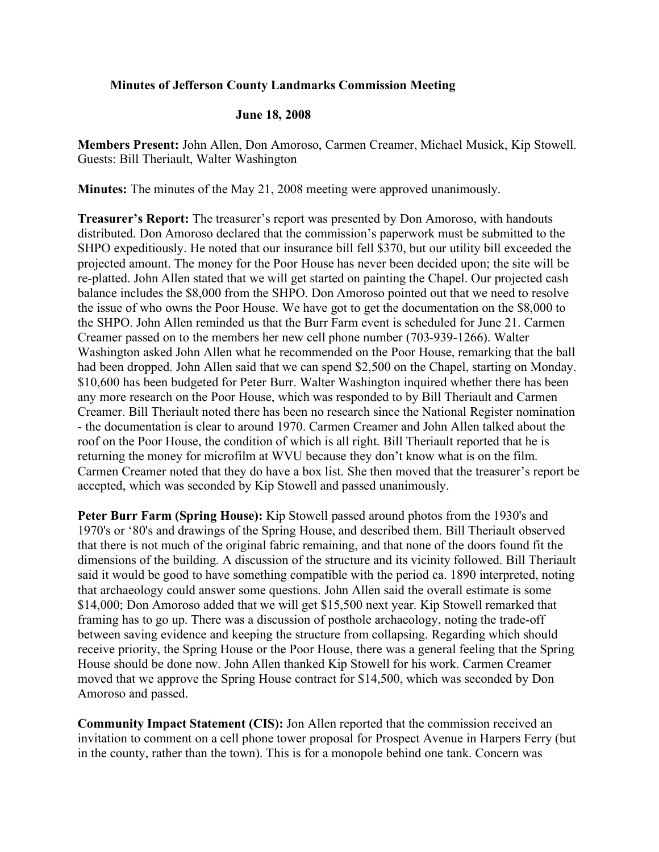## **Minutes of Jefferson County Landmarks Commission Meeting**

## **June 18, 2008**

**Members Present:** John Allen, Don Amoroso, Carmen Creamer, Michael Musick, Kip Stowell. Guests: Bill Theriault, Walter Washington

**Minutes:** The minutes of the May 21, 2008 meeting were approved unanimously.

**Treasurer's Report:** The treasurer's report was presented by Don Amoroso, with handouts distributed. Don Amoroso declared that the commission's paperwork must be submitted to the SHPO expeditiously. He noted that our insurance bill fell \$370, but our utility bill exceeded the projected amount. The money for the Poor House has never been decided upon; the site will be re-platted. John Allen stated that we will get started on painting the Chapel. Our projected cash balance includes the \$8,000 from the SHPO. Don Amoroso pointed out that we need to resolve the issue of who owns the Poor House. We have got to get the documentation on the \$8,000 to the SHPO. John Allen reminded us that the Burr Farm event is scheduled for June 21. Carmen Creamer passed on to the members her new cell phone number (703-939-1266). Walter Washington asked John Allen what he recommended on the Poor House, remarking that the ball had been dropped. John Allen said that we can spend \$2,500 on the Chapel, starting on Monday. \$10,600 has been budgeted for Peter Burr. Walter Washington inquired whether there has been any more research on the Poor House, which was responded to by Bill Theriault and Carmen Creamer. Bill Theriault noted there has been no research since the National Register nomination - the documentation is clear to around 1970. Carmen Creamer and John Allen talked about the roof on the Poor House, the condition of which is all right. Bill Theriault reported that he is returning the money for microfilm at WVU because they don't know what is on the film. Carmen Creamer noted that they do have a box list. She then moved that the treasurer's report be accepted, which was seconded by Kip Stowell and passed unanimously.

**Peter Burr Farm (Spring House):** Kip Stowell passed around photos from the 1930's and 1970's or '80's and drawings of the Spring House, and described them. Bill Theriault observed that there is not much of the original fabric remaining, and that none of the doors found fit the dimensions of the building. A discussion of the structure and its vicinity followed. Bill Theriault said it would be good to have something compatible with the period ca. 1890 interpreted, noting that archaeology could answer some questions. John Allen said the overall estimate is some \$14,000; Don Amoroso added that we will get \$15,500 next year. Kip Stowell remarked that framing has to go up. There was a discussion of posthole archaeology, noting the trade-off between saving evidence and keeping the structure from collapsing. Regarding which should receive priority, the Spring House or the Poor House, there was a general feeling that the Spring House should be done now. John Allen thanked Kip Stowell for his work. Carmen Creamer moved that we approve the Spring House contract for \$14,500, which was seconded by Don Amoroso and passed.

**Community Impact Statement (CIS):** Jon Allen reported that the commission received an invitation to comment on a cell phone tower proposal for Prospect Avenue in Harpers Ferry (but in the county, rather than the town). This is for a monopole behind one tank. Concern was